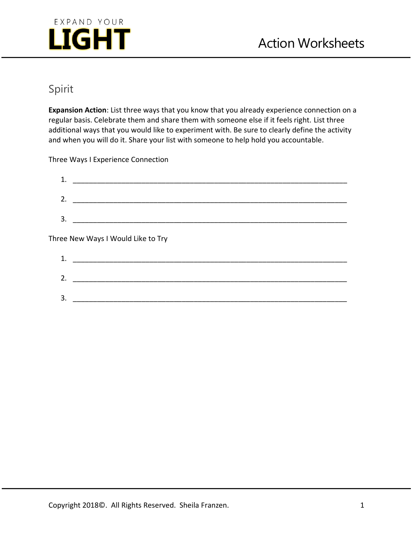

# Spirit

**Expansion Action**: List three ways that you know that you already experience connection on a regular basis. Celebrate them and share them with someone else if it feels right. List three additional ways that you would like to experiment with. Be sure to clearly define the activity and when you will do it. Share your list with someone to help hold you accountable.

Three Ways I Experience Connection

| 2. |                                    |
|----|------------------------------------|
| 3. |                                    |
|    |                                    |
|    |                                    |
|    | Three New Ways I Would Like to Try |
| 1. |                                    |

| -<br>- |  |  |  |
|--------|--|--|--|
|        |  |  |  |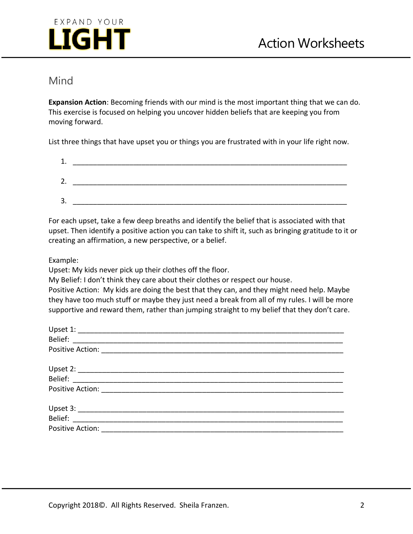

#### Mind

**Expansion Action**: Becoming friends with our mind is the most important thing that we can do. This exercise is focused on helping you uncover hidden beliefs that are keeping you from moving forward.

List three things that have upset you or things you are frustrated with in your life right now.

| 1<br>ᆠ |  |  |
|--------|--|--|
| 2.     |  |  |
| 3.     |  |  |
|        |  |  |

For each upset, take a few deep breaths and identify the belief that is associated with that upset. Then identify a positive action you can take to shift it, such as bringing gratitude to it or creating an affirmation, a new perspective, or a belief.

Example:

Upset: My kids never pick up their clothes off the floor.

My Belief: I don't think they care about their clothes or respect our house.

Positive Action: My kids are doing the best that they can, and they might need help. Maybe they have too much stuff or maybe they just need a break from all of my rules. I will be more supportive and reward them, rather than jumping straight to my belief that they don't care.

| Upset 1:         |  |  |
|------------------|--|--|
|                  |  |  |
|                  |  |  |
|                  |  |  |
| Belief:          |  |  |
|                  |  |  |
|                  |  |  |
| Belief:          |  |  |
| Positive Action: |  |  |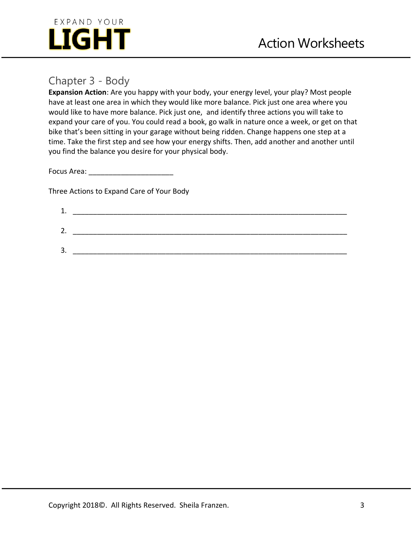

### Chapter 3 - Body

**Expansion Action**: Are you happy with your body, your energy level, your play? Most people have at least one area in which they would like more balance. Pick just one area where you would like to have more balance. Pick just one, and identify three actions you will take to expand your care of you. You could read a book, go walk in nature once a week, or get on that bike that's been sitting in your garage without being ridden. Change happens one step at a time. Take the first step and see how your energy shifts. Then, add another and another until you find the balance you desire for your physical body.

Focus Area: \_\_\_\_\_\_\_\_\_\_\_\_\_\_\_\_\_\_\_\_\_

Three Actions to Expand Care of Your Body

| ᅩ.       |  |
|----------|--|
|          |  |
| ◠<br>٠   |  |
|          |  |
| ว<br>، ب |  |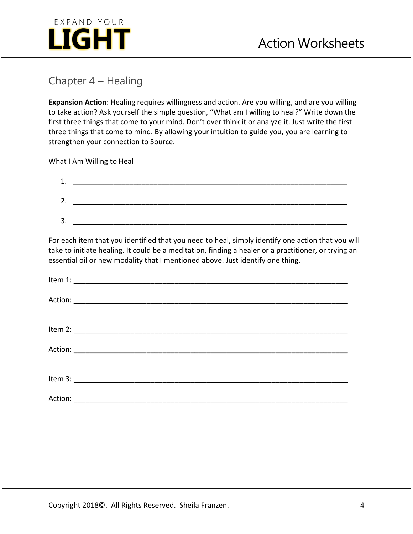

### Chapter 4 – Healing

**Expansion Action**: Healing requires willingness and action. Are you willing, and are you willing to take action? Ask yourself the simple question, "What am I willing to heal?" Write down the first three things that come to your mind. Don't over think it or analyze it. Just write the first three things that come to mind. By allowing your intuition to guide you, you are learning to strengthen your connection to Source.

What I Am Willing to Heal

| л<br>ᅩ |  |
|--------|--|
| 2.     |  |
| 3.     |  |

For each item that you identified that you need to heal, simply identify one action that you will take to initiate healing. It could be a meditation, finding a healer or a practitioner, or trying an essential oil or new modality that I mentioned above. Just identify one thing.

| Action: |  |
|---------|--|